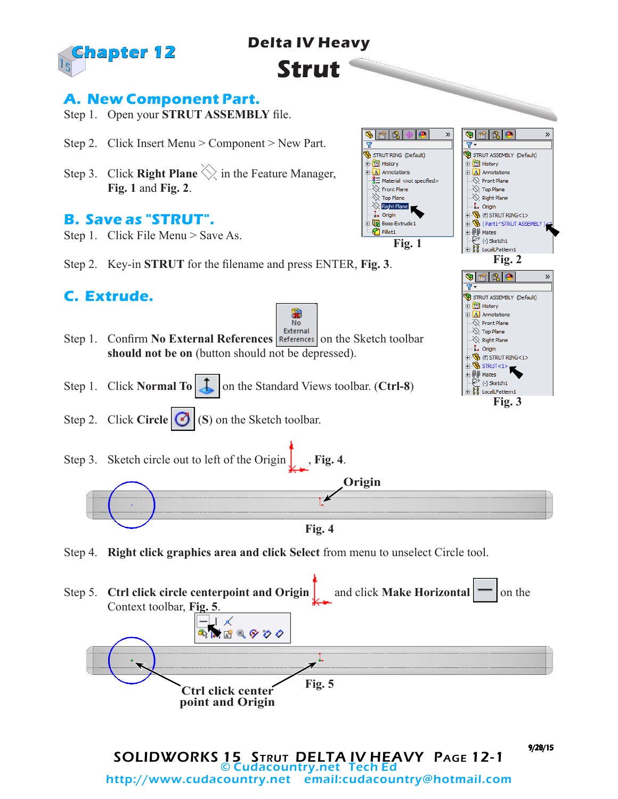

# **Delta IV Heavy**

**Strut**

### **A. New Component Part.**

- Step 1. Open your **STRUT ASSEMBLY** file.
- Step 2. Click Insert Menu > Component > New Part.
- Step 3. Click **Right Plane**  $\Diamond$  in the Feature Manager, **Fig. 1** and **Fig. 2**.

#### **B. Save as "STRUT".**

- Step 1. Click File Menu > Save As.
- Step 2. Key-in **STRUT** for the filename and press ENTER, **Fig. 3**.

## **C. Extrude.**



**Fig. 1**

商隐

**D** History

**A** Annotations

 $\hat{\otimes}$  Front Plane  $\otimes$  Top Plane

 $\frac{1}{2}$  Right Plane

**Boss-Extrude 1** 

 $\downarrow$  Origin

Fillet1

STRUT RING (Default)

 $\frac{3}{2}$  Material <not specified>

☜

冨

 $\mathcal{D}$ 

 $\bullet$  2 6

**E O** History

 $\Box$  Annotations

 $\otimes$  Front Plane  $\bigotimes$  Top Plane

 $\gg$  Right Plane

 $\check{e}$  (-) Sketch 1 **Example 1**<br>
Example 10 LocalLPattern1

 $\bullet$   $\bullet$   $\bullet$ 

 $\overline{\otimes}$  Front Plane

 $\otimes$  Top Plane  $\gg$  Right Plane - Î+ Origin  $\mathbb{E} \mathbb{E}$  (f) strut ring<1>  $\mathbb{R}$  STRUT<1> DO Mates  $\mathcal{C}$  (-) Sketch1

由 **D** History **A** Annotations

 $\overline{\mathbf{Y}}$ 

 $\mathbb{E} \mathbb{E}$  (f) strut ring<1>

**D** [Part1^STRUT ASSEMBLY

… ‡., Origin

**E** OO Mates

STRUT ASSEMBLY (Default)

 $\overline{\mathbf{Y}}$ 

»

 $\mathbf{v}$ 

**Fig. 2**

STRUT ASSEMBLY (Default)

**Fig. 3**<br>Fig. 3

- Step 1. Confirm **No External References** References on the Sketch toolbar **should not be on** (button should not be depressed).
- Step 1. Click **Normal To E** on the Standard Views toolbar. (**Ctrl-8**)
- Step 2. Click **Circle (B)** (S) on the Sketch toolbar.
- Step 3. Sketch circle out to left of the Origin  $\left| \right|$ , **Fig. 4**.



Step 4. **Right click graphics area and click Select** from menu to unselect Circle tool.

**Fig. 5 Ctrl click center** 

**point and Origin**

Step 5. **Ctrl click circle centerpoint and Origin** and click **Make Horizontal**  $\sim$  on the Context toolbar, **Fig. 5**. ⊥ ≮ キャクタ あいば

SOLIDWORKS 15 Strut DELTA IV HEAVY Page 12-1 © Cudacountry.net Tech Ed http://www.cudacountry.net email:cudacountry@hotmail.com 9/28/15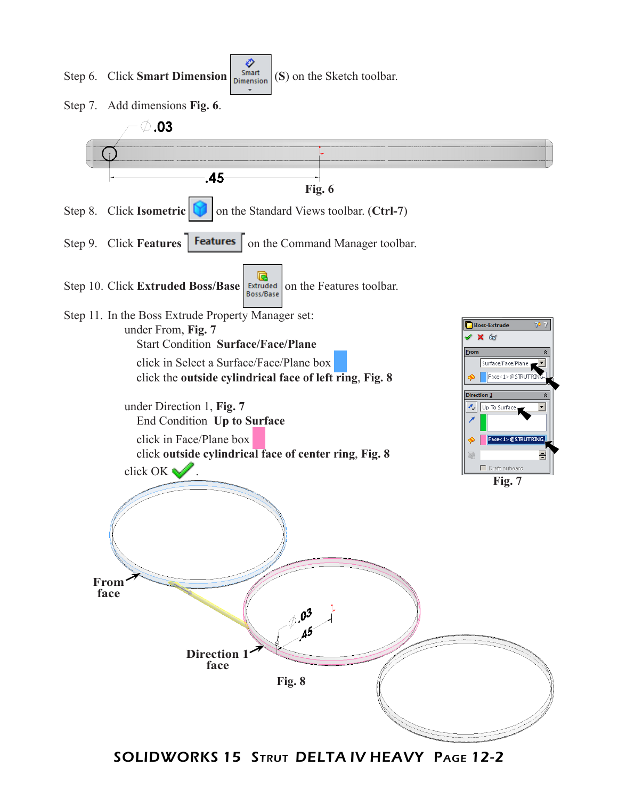

SOLIDWORKS 15 Strut DELTA IV HEAVY Page 12-2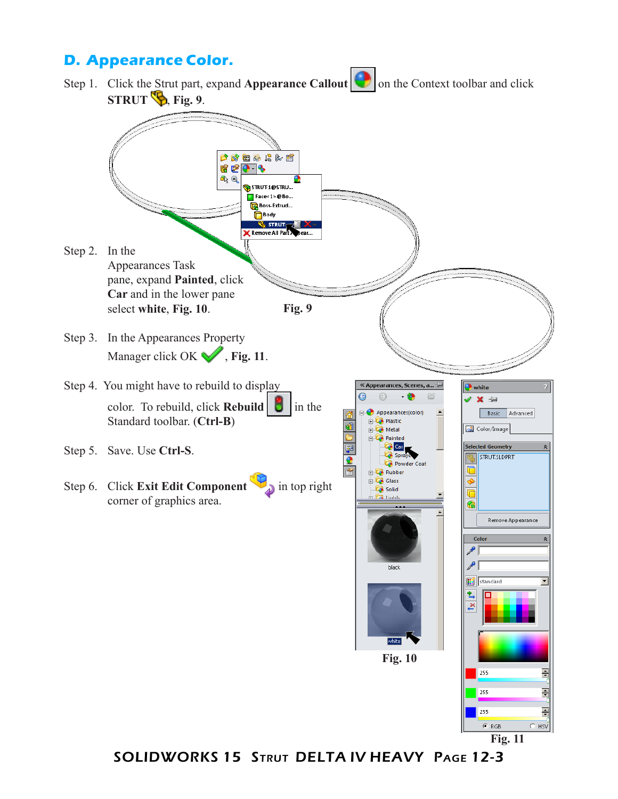## **D. Appearance Color.**

Step 1. Click the Strut part, expand **Appearance Callout O** on the Context toolbar and click **STRUT b**, Fig. 9. 2 对某人的有人 620 B a) Q **G** STRUT-1@STRU... Face<1>@Bo... **Boss-Extrud... Body STRUT** Remove All Part Step 2. In the Appearances Task pane, expand **Painted**, click **Car** and in the lower pane **Fig. 9** select **white**, **Fig. 10**. Step 3. In the Appearances Property Manager click OK , Fig. 11. Step 4. You might have to rebuild to display « Appearances, Scer  $\bullet$  white  $\odot$  $\odot$ V X ÷ color. To rebuild, click **Rebuild**  $\begin{bmatrix} 1 \\ 1 \end{bmatrix}$  in the Appearances(color) Basic Advanced Standard toolbar. (**Ctrl-B**) **Plastic** Color/Image **B** Metal **Painted** Ė **Car Selected Geometry** Step 5. Save. Use **Ctrl-S**. Spra **STRUT.SLDPRT** Powder Coat  $\Box$  Rubber Step 6. Click **Exit Edit Component** in top right Glass ♦ Solid Ò corner of graphics area. € Remove Appearance Color ₽ black standard 包 **White Fig. 10**  $\begin{array}{|c|c|}\n\hline\n\end{array}$ ÷ 255 릓

**Fig. 11**

 $\frac{1}{2}$ 

 $C$  HSV

 $255$ 

 $C$  RGB

SOLIDWORKS 15 Strut DELTA IV HEAVY Page 12-3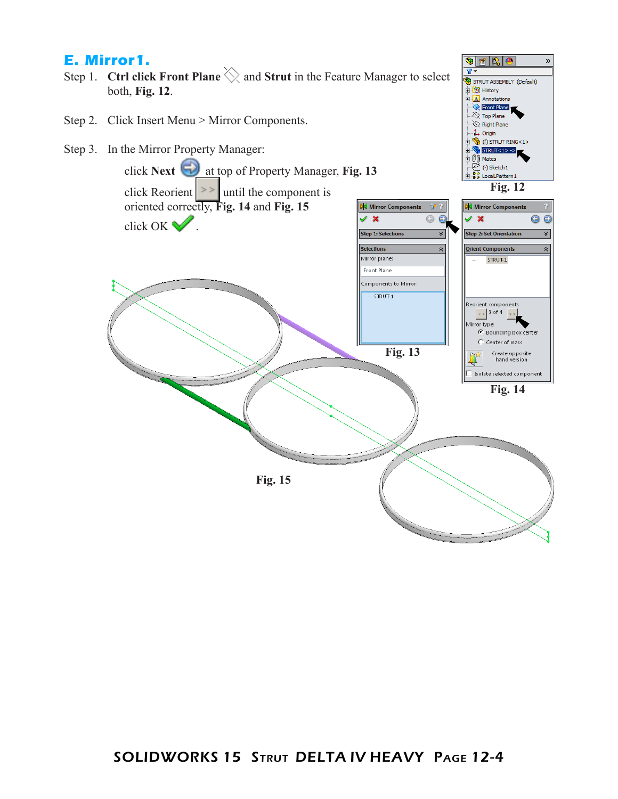#### **E. Mirror1.**

- Step 1. **Ctrl click Front Plane**  $\Diamond$  and **Strut** in the Feature Manager to select both, **Fig. 12**.
- Step 2. Click Insert Menu > Mirror Components.
- Step 3. In the Mirror Property Manager:



 $\bullet$  2 2 3  $\bullet$ 

由 **fo** History  $A$  Annotations Front Plane  $\frac{1}{2}$  Top Plane  $\overline{\diamondsuit}$  Right Plane ↓ Origin  $\mathbb{R}$  (f) strut ring<1>

STRUT ASSEMBLY (Default)

 $\sqrt{r}$ 

 $\gg$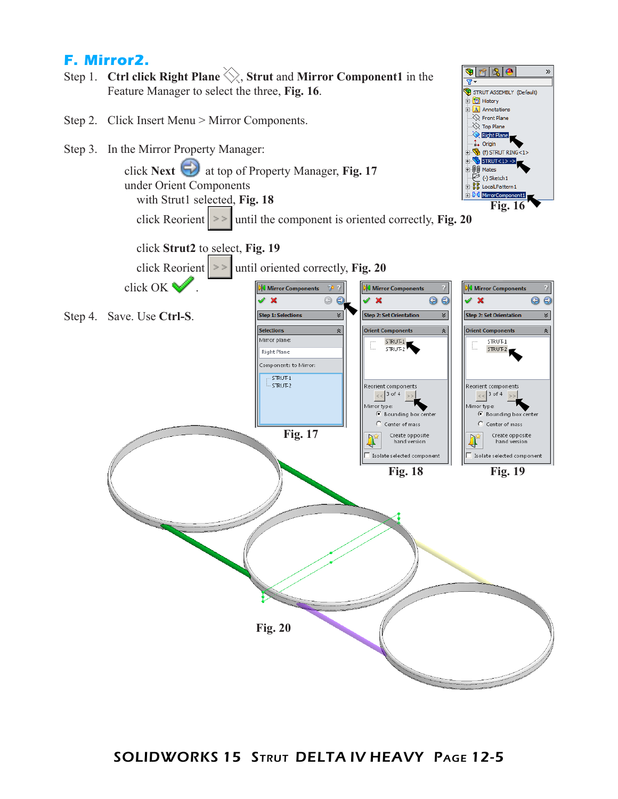## **F. Mirror2.**

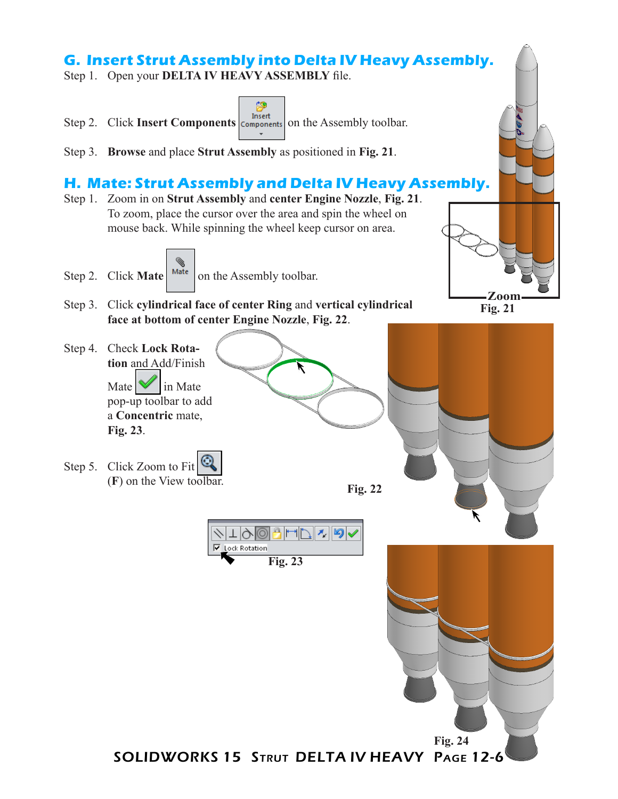# **G. Insert Strut Assembly into Delta IV Heavy Assembly.**

Step 1. Open your **DELTA IV HEAVY ASSEMBLY** file.

- 阕 Step 2. Click **Insert Components Components on** the Assembly toolbar.
- Step 3. **Browse** and place **Strut Assembly** as positioned in **Fig. 21**.

#### **H. Mate: Strut Assembly and Delta IV Heavy Assembly.**

- Step 1. Zoom in on **Strut Assembly** and **center Engine Nozzle**, **Fig. 21**. To zoom, place the cursor over the area and spin the wheel on mouse back. While spinning the wheel keep cursor on area.
- Step 2. Click **Mate**  $\begin{array}{|c|c|} \n\hline\n\end{array}$  Mate  $\begin{array}{|c|c|c|} \n\hline\n\end{array}$  on the Assembly toolbar.
- Step 3. Click **cylindrical face of center Ring** and **vertical cylindrical face at bottom of center Engine Nozzle**, **Fig. 22**.





Step 4. Check **Lock Rotation** and Add/Finish Mate  $\sim$  in Mate pop-up toolbar to add a **Concentric** mate, **Fig. 23**. Step 5. Click Zoom to Fit  $\mathbb{Q}$ (**F**) on the View toolbar. **Fig. 22 Artis 145** ⁄∤|⊤|୨∤©| **▽** Lock Rotation **Fig. 23 Fig. 24**SOLIDWORKS 15 Strut DELTA IV HEAVY Page 12-6